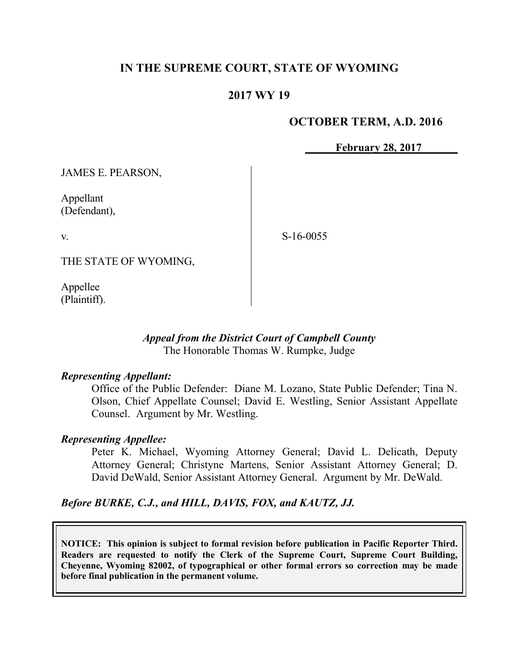# **IN THE SUPREME COURT, STATE OF WYOMING**

## **2017 WY 19**

### **OCTOBER TERM, A.D. 2016**

**February 28, 2017**

JAMES E. PEARSON,

Appellant (Defendant),

v.

S-16-0055

THE STATE OF WYOMING,

Appellee (Plaintiff).

### *Appeal from the District Court of Campbell County* The Honorable Thomas W. Rumpke, Judge

#### *Representing Appellant:*

Office of the Public Defender: Diane M. Lozano, State Public Defender; Tina N. Olson, Chief Appellate Counsel; David E. Westling, Senior Assistant Appellate Counsel. Argument by Mr. Westling.

#### *Representing Appellee:*

Peter K. Michael, Wyoming Attorney General; David L. Delicath, Deputy Attorney General; Christyne Martens, Senior Assistant Attorney General; D. David DeWald, Senior Assistant Attorney General. Argument by Mr. DeWald.

*Before BURKE, C.J., and HILL, DAVIS, FOX, and KAUTZ, JJ.*

**NOTICE: This opinion is subject to formal revision before publication in Pacific Reporter Third. Readers are requested to notify the Clerk of the Supreme Court, Supreme Court Building, Cheyenne, Wyoming 82002, of typographical or other formal errors so correction may be made before final publication in the permanent volume.**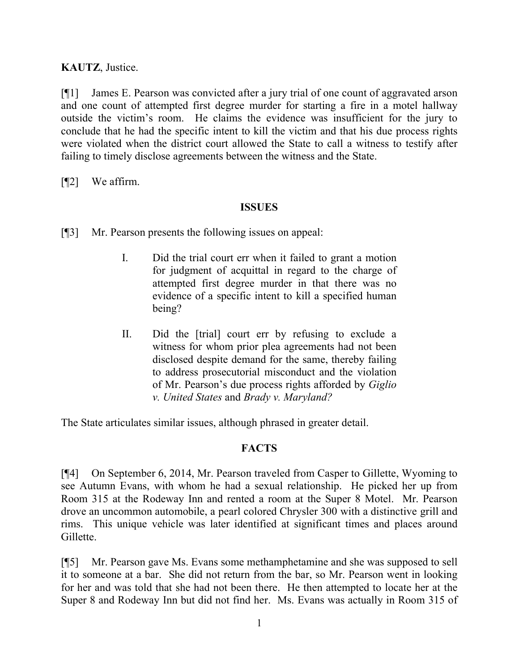**KAUTZ**, Justice.

[¶1] James E. Pearson was convicted after a jury trial of one count of aggravated arson and one count of attempted first degree murder for starting a fire in a motel hallway outside the victim's room. He claims the evidence was insufficient for the jury to conclude that he had the specific intent to kill the victim and that his due process rights were violated when the district court allowed the State to call a witness to testify after failing to timely disclose agreements between the witness and the State.

[¶2] We affirm.

### **ISSUES**

- [¶3] Mr. Pearson presents the following issues on appeal:
	- I. Did the trial court err when it failed to grant a motion for judgment of acquittal in regard to the charge of attempted first degree murder in that there was no evidence of a specific intent to kill a specified human being?
	- II. Did the [trial] court err by refusing to exclude a witness for whom prior plea agreements had not been disclosed despite demand for the same, thereby failing to address prosecutorial misconduct and the violation of Mr. Pearson's due process rights afforded by *Giglio v. United States* and *Brady v. Maryland?*

The State articulates similar issues, although phrased in greater detail.

### **FACTS**

[¶4] On September 6, 2014, Mr. Pearson traveled from Casper to Gillette, Wyoming to see Autumn Evans, with whom he had a sexual relationship. He picked her up from Room 315 at the Rodeway Inn and rented a room at the Super 8 Motel. Mr. Pearson drove an uncommon automobile, a pearl colored Chrysler 300 with a distinctive grill and rims. This unique vehicle was later identified at significant times and places around Gillette.

[¶5] Mr. Pearson gave Ms. Evans some methamphetamine and she was supposed to sell it to someone at a bar. She did not return from the bar, so Mr. Pearson went in looking for her and was told that she had not been there. He then attempted to locate her at the Super 8 and Rodeway Inn but did not find her. Ms. Evans was actually in Room 315 of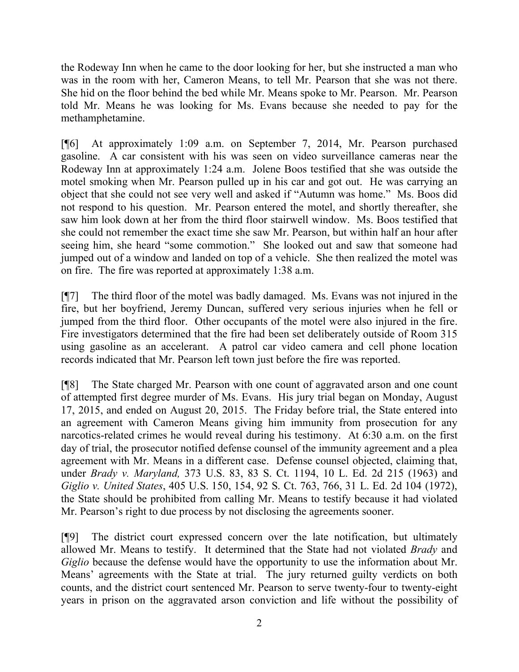the Rodeway Inn when he came to the door looking for her, but she instructed a man who was in the room with her, Cameron Means, to tell Mr. Pearson that she was not there. She hid on the floor behind the bed while Mr. Means spoke to Mr. Pearson. Mr. Pearson told Mr. Means he was looking for Ms. Evans because she needed to pay for the methamphetamine.

[¶6] At approximately 1:09 a.m. on September 7, 2014, Mr. Pearson purchased gasoline. A car consistent with his was seen on video surveillance cameras near the Rodeway Inn at approximately 1:24 a.m. Jolene Boos testified that she was outside the motel smoking when Mr. Pearson pulled up in his car and got out. He was carrying an object that she could not see very well and asked if "Autumn was home." Ms. Boos did not respond to his question. Mr. Pearson entered the motel, and shortly thereafter, she saw him look down at her from the third floor stairwell window. Ms. Boos testified that she could not remember the exact time she saw Mr. Pearson, but within half an hour after seeing him, she heard "some commotion." She looked out and saw that someone had jumped out of a window and landed on top of a vehicle. She then realized the motel was on fire. The fire was reported at approximately 1:38 a.m.

[¶7] The third floor of the motel was badly damaged. Ms. Evans was not injured in the fire, but her boyfriend, Jeremy Duncan, suffered very serious injuries when he fell or jumped from the third floor. Other occupants of the motel were also injured in the fire. Fire investigators determined that the fire had been set deliberately outside of Room 315 using gasoline as an accelerant. A patrol car video camera and cell phone location records indicated that Mr. Pearson left town just before the fire was reported.

[¶8] The State charged Mr. Pearson with one count of aggravated arson and one count of attempted first degree murder of Ms. Evans. His jury trial began on Monday, August 17, 2015, and ended on August 20, 2015. The Friday before trial, the State entered into an agreement with Cameron Means giving him immunity from prosecution for any narcotics-related crimes he would reveal during his testimony. At 6:30 a.m. on the first day of trial, the prosecutor notified defense counsel of the immunity agreement and a plea agreement with Mr. Means in a different case. Defense counsel objected, claiming that, under *Brady v. Maryland,* 373 U.S. 83, 83 S. Ct. 1194, 10 L. Ed. 2d 215 (1963) and *Giglio v. United States*, 405 U.S. 150, 154, 92 S. Ct. 763, 766, 31 L. Ed. 2d 104 (1972), the State should be prohibited from calling Mr. Means to testify because it had violated Mr. Pearson's right to due process by not disclosing the agreements sooner.

[¶9] The district court expressed concern over the late notification, but ultimately allowed Mr. Means to testify. It determined that the State had not violated *Brady* and *Giglio* because the defense would have the opportunity to use the information about Mr. Means' agreements with the State at trial. The jury returned guilty verdicts on both counts, and the district court sentenced Mr. Pearson to serve twenty-four to twenty-eight years in prison on the aggravated arson conviction and life without the possibility of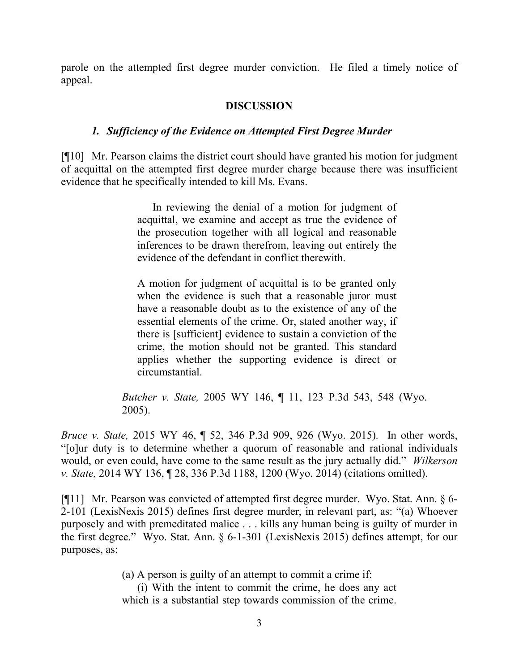parole on the attempted first degree murder conviction. He filed a timely notice of appeal.

## **DISCUSSION**

### *1. Sufficiency of the Evidence on Attempted First Degree Murder*

[¶10] Mr. Pearson claims the district court should have granted his motion for judgment of acquittal on the attempted first degree murder charge because there was insufficient evidence that he specifically intended to kill Ms. Evans.

> In reviewing the denial of a motion for judgment of acquittal, we examine and accept as true the evidence of the prosecution together with all logical and reasonable inferences to be drawn therefrom, leaving out entirely the evidence of the defendant in conflict therewith.

> A motion for judgment of acquittal is to be granted only when the evidence is such that a reasonable juror must have a reasonable doubt as to the existence of any of the essential elements of the crime. Or, stated another way, if there is [sufficient] evidence to sustain a conviction of the crime, the motion should not be granted. This standard applies whether the supporting evidence is direct or circumstantial.

*Butcher v. State,* 2005 WY 146, ¶ 11, 123 P.3d 543, 548 (Wyo. 2005).

*Bruce v. State,* 2015 WY 46, ¶ 52, 346 P.3d 909, 926 (Wyo. 2015). In other words, "[o]ur duty is to determine whether a quorum of reasonable and rational individuals would, or even could, have come to the same result as the jury actually did." *Wilkerson v. State,* 2014 WY 136, ¶ 28, 336 P.3d 1188, 1200 (Wyo. 2014) (citations omitted).

[¶11] Mr. Pearson was convicted of attempted first degree murder. Wyo. Stat. Ann. § 6- 2-101 (LexisNexis 2015) defines first degree murder, in relevant part, as: "(a) Whoever purposely and with premeditated malice . . . kills any human being is guilty of murder in the first degree." Wyo. Stat. Ann. § 6-1-301 (LexisNexis 2015) defines attempt, for our purposes, as:

(a) A person is guilty of an attempt to commit a crime if:

(i) With the intent to commit the crime, he does any act which is a substantial step towards commission of the crime.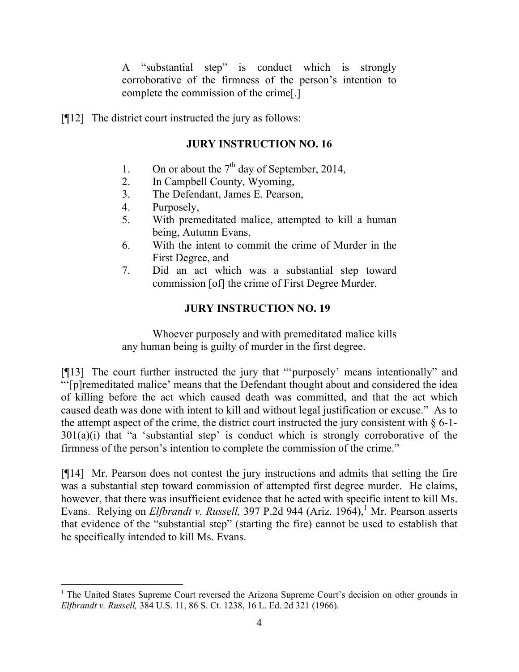A "substantial step" is conduct which is strongly corroborative of the firmness of the person's intention to complete the commission of the crime[.]

[¶12] The district court instructed the jury as follows:

# **JURY INSTRUCTION NO. 16**

- 1. On or about the  $7<sup>th</sup>$  day of September, 2014,
- 2. In Campbell County, Wyoming,
- 3. The Defendant, James E. Pearson,
- 4. Purposely,

- 5. With premeditated malice, attempted to kill a human being, Autumn Evans,
- 6. With the intent to commit the crime of Murder in the First Degree, and
- 7. Did an act which was a substantial step toward commission [of] the crime of First Degree Murder.

# **JURY INSTRUCTION NO. 19**

Whoever purposely and with premeditated malice kills any human being is guilty of murder in the first degree.

[¶13] The court further instructed the jury that "'purposely' means intentionally" and "'[p]remeditated malice' means that the Defendant thought about and considered the idea of killing before the act which caused death was committed, and that the act which caused death was done with intent to kill and without legal justification or excuse." As to the attempt aspect of the crime, the district court instructed the jury consistent with  $\S$  6-1-301(a)(i) that "a 'substantial step' is conduct which is strongly corroborative of the firmness of the person's intention to complete the commission of the crime."

[¶14] Mr. Pearson does not contest the jury instructions and admits that setting the fire was a substantial step toward commission of attempted first degree murder. He claims, however, that there was insufficient evidence that he acted with specific intent to kill Ms. Evans. Relying on *Elfbrandt v. Russell*, 397 P.2d 944 (Ariz. 1964),<sup>1</sup> Mr. Pearson asserts that evidence of the "substantial step" (starting the fire) cannot be used to establish that he specifically intended to kill Ms. Evans.

<sup>&</sup>lt;sup>1</sup> The United States Supreme Court reversed the Arizona Supreme Court's decision on other grounds in *Elfbrandt v. Russell,* 384 U.S. 11, 86 S. Ct. 1238, 16 L. Ed. 2d 321 (1966).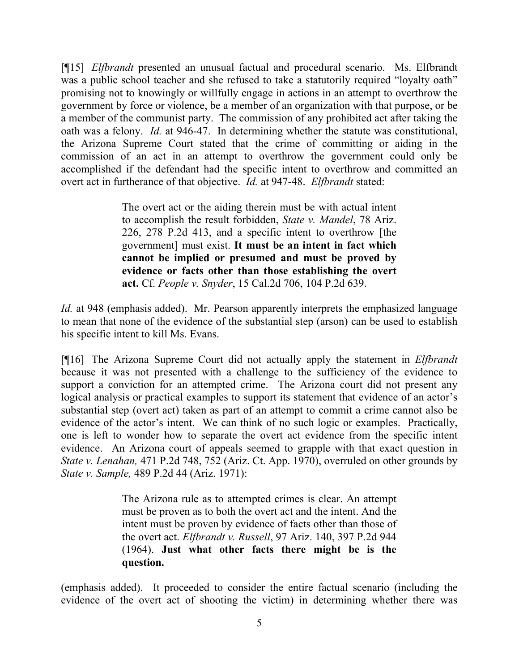[¶15] *Elfbrandt* presented an unusual factual and procedural scenario. Ms. Elfbrandt was a public school teacher and she refused to take a statutorily required "loyalty oath" promising not to knowingly or willfully engage in actions in an attempt to overthrow the government by force or violence, be a member of an organization with that purpose, or be a member of the communist party. The commission of any prohibited act after taking the oath was a felony. *Id.* at 946-47. In determining whether the statute was constitutional, the Arizona Supreme Court stated that the crime of committing or aiding in the commission of an act in an attempt to overthrow the government could only be accomplished if the defendant had the specific intent to overthrow and committed an overt act in furtherance of that objective. *Id.* at 947-48. *Elfbrandt* stated:

> The overt act or the aiding therein must be with actual intent to accomplish the result forbidden, *State v. Mandel*, 78 Ariz. 226, 278 P.2d 413, and a specific intent to overthrow [the government] must exist. **It must be an intent in fact which cannot be implied or presumed and must be proved by evidence or facts other than those establishing the overt act.** Cf. *People v. Snyder*, 15 Cal.2d 706, 104 P.2d 639.

*Id.* at 948 (emphasis added). Mr. Pearson apparently interprets the emphasized language to mean that none of the evidence of the substantial step (arson) can be used to establish his specific intent to kill Ms. Evans.

[¶16] The Arizona Supreme Court did not actually apply the statement in *Elfbrandt*  because it was not presented with a challenge to the sufficiency of the evidence to support a conviction for an attempted crime. The Arizona court did not present any logical analysis or practical examples to support its statement that evidence of an actor's substantial step (overt act) taken as part of an attempt to commit a crime cannot also be evidence of the actor's intent. We can think of no such logic or examples. Practically, one is left to wonder how to separate the overt act evidence from the specific intent evidence. An Arizona court of appeals seemed to grapple with that exact question in *State v. Lenahan,* 471 P.2d 748, 752 (Ariz. Ct. App. 1970), overruled on other grounds by *State v. Sample,* 489 P.2d 44 (Ariz. 1971):

> The Arizona rule as to attempted crimes is clear. An attempt must be proven as to both the overt act and the intent. And the intent must be proven by evidence of facts other than those of the overt act. *Elfbrandt v. Russell*, 97 Ariz. 140, 397 P.2d 944 (1964). **Just what other facts there might be is the question.**

(emphasis added). It proceeded to consider the entire factual scenario (including the evidence of the overt act of shooting the victim) in determining whether there was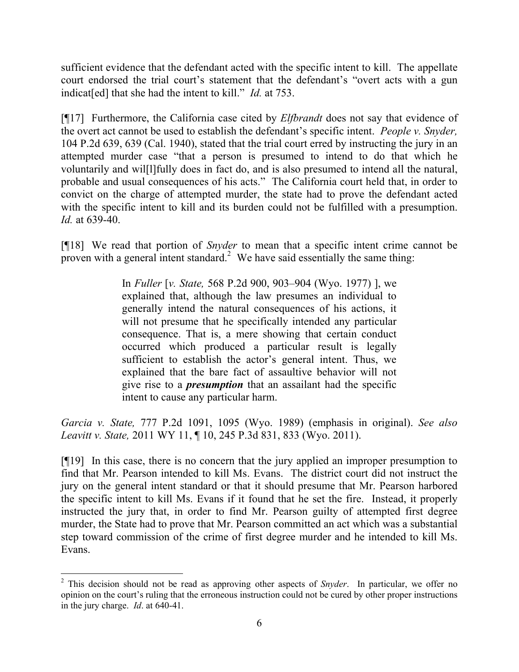sufficient evidence that the defendant acted with the specific intent to kill. The appellate court endorsed the trial court's statement that the defendant's "overt acts with a gun indicat[ed] that she had the intent to kill." *Id.* at 753.

[¶17] Furthermore, the California case cited by *Elfbrandt* does not say that evidence of the overt act cannot be used to establish the defendant's specific intent. *People v. Snyder,*  104 P.2d 639, 639 (Cal. 1940), stated that the trial court erred by instructing the jury in an attempted murder case "that a person is presumed to intend to do that which he voluntarily and wil[l]fully does in fact do, and is also presumed to intend all the natural, probable and usual consequences of his acts." The California court held that, in order to convict on the charge of attempted murder, the state had to prove the defendant acted with the specific intent to kill and its burden could not be fulfilled with a presumption. *Id.* at 639-40.

[¶18] We read that portion of *Snyder* to mean that a specific intent crime cannot be proven with a general intent standard.<sup>2</sup> We have said essentially the same thing:

> In *Fuller* [*v. State,* 568 P.2d 900, 903–904 (Wyo. 1977) ], we explained that, although the law presumes an individual to generally intend the natural consequences of his actions, it will not presume that he specifically intended any particular consequence. That is, a mere showing that certain conduct occurred which produced a particular result is legally sufficient to establish the actor's general intent. Thus, we explained that the bare fact of assaultive behavior will not give rise to a *presumption* that an assailant had the specific intent to cause any particular harm.

*Garcia v. State,* 777 P.2d 1091, 1095 (Wyo. 1989) (emphasis in original). *See also Leavitt v. State,* 2011 WY 11, ¶ 10, 245 P.3d 831, 833 (Wyo. 2011).

[¶19] In this case, there is no concern that the jury applied an improper presumption to find that Mr. Pearson intended to kill Ms. Evans. The district court did not instruct the jury on the general intent standard or that it should presume that Mr. Pearson harbored the specific intent to kill Ms. Evans if it found that he set the fire. Instead, it properly instructed the jury that, in order to find Mr. Pearson guilty of attempted first degree murder, the State had to prove that Mr. Pearson committed an act which was a substantial step toward commission of the crime of first degree murder and he intended to kill Ms. Evans.

l

<sup>2</sup> This decision should not be read as approving other aspects of *Snyder*. In particular, we offer no opinion on the court's ruling that the erroneous instruction could not be cured by other proper instructions in the jury charge. *Id*. at 640-41.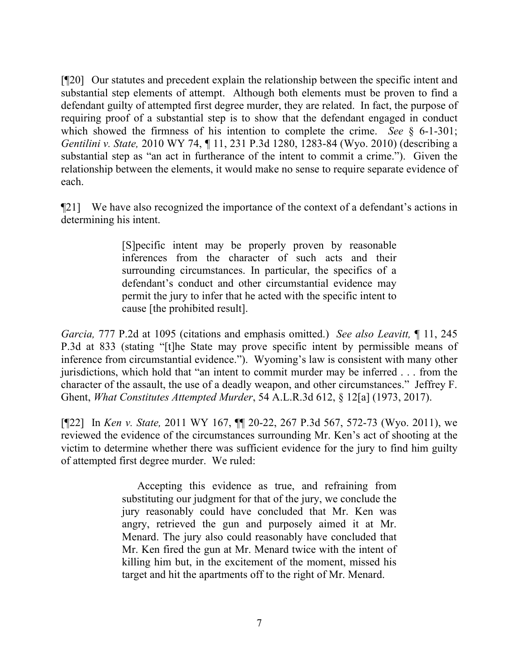[¶20] Our statutes and precedent explain the relationship between the specific intent and substantial step elements of attempt. Although both elements must be proven to find a defendant guilty of attempted first degree murder, they are related. In fact, the purpose of requiring proof of a substantial step is to show that the defendant engaged in conduct which showed the firmness of his intention to complete the crime. *See* § 6-1-301; *Gentilini v. State,* 2010 WY 74, ¶ 11, 231 P.3d 1280, 1283-84 (Wyo. 2010) (describing a substantial step as "an act in furtherance of the intent to commit a crime."). Given the relationship between the elements, it would make no sense to require separate evidence of each.

¶21] We have also recognized the importance of the context of a defendant's actions in determining his intent.

> [S]pecific intent may be properly proven by reasonable inferences from the character of such acts and their surrounding circumstances. In particular, the specifics of a defendant's conduct and other circumstantial evidence may permit the jury to infer that he acted with the specific intent to cause [the prohibited result].

*Garcia,* 777 P.2d at 1095 (citations and emphasis omitted.) *See also Leavitt,* ¶ 11, 245 P.3d at 833 (stating "[t]he State may prove specific intent by permissible means of inference from circumstantial evidence."). Wyoming's law is consistent with many other jurisdictions, which hold that "an intent to commit murder may be inferred . . . from the character of the assault, the use of a deadly weapon, and other circumstances." Jeffrey F. Ghent, *What Constitutes Attempted Murder*, 54 A.L.R.3d 612, § 12[a] (1973, 2017).

[¶22] In *Ken v. State,* 2011 WY 167, ¶¶ 20-22, 267 P.3d 567, 572-73 (Wyo. 2011), we reviewed the evidence of the circumstances surrounding Mr. Ken's act of shooting at the victim to determine whether there was sufficient evidence for the jury to find him guilty of attempted first degree murder. We ruled:

> Accepting this evidence as true, and refraining from substituting our judgment for that of the jury, we conclude the jury reasonably could have concluded that Mr. Ken was angry, retrieved the gun and purposely aimed it at Mr. Menard. The jury also could reasonably have concluded that Mr. Ken fired the gun at Mr. Menard twice with the intent of killing him but, in the excitement of the moment, missed his target and hit the apartments off to the right of Mr. Menard.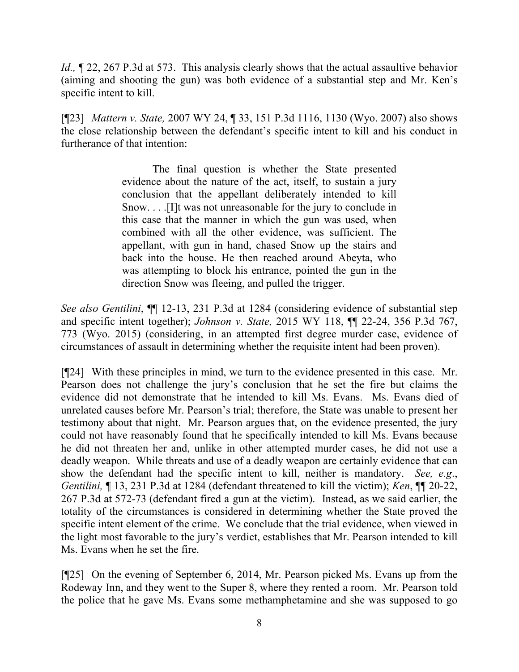*Id.*,  $\sim$  22, 267 P.3d at 573. This analysis clearly shows that the actual assaultive behavior (aiming and shooting the gun) was both evidence of a substantial step and Mr. Ken's specific intent to kill.

[¶23] *Mattern v. State,* 2007 WY 24, ¶ 33, 151 P.3d 1116, 1130 (Wyo. 2007) also shows the close relationship between the defendant's specific intent to kill and his conduct in furtherance of that intention:

> The final question is whether the State presented evidence about the nature of the act, itself, to sustain a jury conclusion that the appellant deliberately intended to kill Snow. . . .[I]t was not unreasonable for the jury to conclude in this case that the manner in which the gun was used, when combined with all the other evidence, was sufficient. The appellant, with gun in hand, chased Snow up the stairs and back into the house. He then reached around Abeyta, who was attempting to block his entrance, pointed the gun in the direction Snow was fleeing, and pulled the trigger.

*See also Gentilini*, ¶¶ 12-13, 231 P.3d at 1284 (considering evidence of substantial step and specific intent together); *Johnson v. State,* 2015 WY 118, ¶¶ 22-24, 356 P.3d 767, 773 (Wyo. 2015) (considering, in an attempted first degree murder case, evidence of circumstances of assault in determining whether the requisite intent had been proven).

[¶24] With these principles in mind, we turn to the evidence presented in this case. Mr. Pearson does not challenge the jury's conclusion that he set the fire but claims the evidence did not demonstrate that he intended to kill Ms. Evans. Ms. Evans died of unrelated causes before Mr. Pearson's trial; therefore, the State was unable to present her testimony about that night. Mr. Pearson argues that, on the evidence presented, the jury could not have reasonably found that he specifically intended to kill Ms. Evans because he did not threaten her and, unlike in other attempted murder cases, he did not use a deadly weapon. While threats and use of a deadly weapon are certainly evidence that can show the defendant had the specific intent to kill, neither is mandatory. *See, e.g*., *Gentilini,* ¶ 13, 231 P.3d at 1284 (defendant threatened to kill the victim); *Ken*, ¶¶ 20-22, 267 P.3d at 572-73 (defendant fired a gun at the victim). Instead, as we said earlier, the totality of the circumstances is considered in determining whether the State proved the specific intent element of the crime. We conclude that the trial evidence, when viewed in the light most favorable to the jury's verdict, establishes that Mr. Pearson intended to kill Ms. Evans when he set the fire.

[¶25] On the evening of September 6, 2014, Mr. Pearson picked Ms. Evans up from the Rodeway Inn, and they went to the Super 8, where they rented a room. Mr. Pearson told the police that he gave Ms. Evans some methamphetamine and she was supposed to go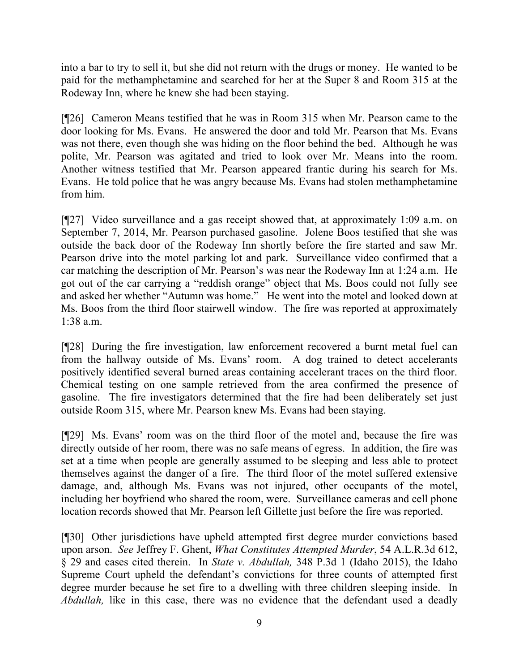into a bar to try to sell it, but she did not return with the drugs or money. He wanted to be paid for the methamphetamine and searched for her at the Super 8 and Room 315 at the Rodeway Inn, where he knew she had been staying.

[¶26] Cameron Means testified that he was in Room 315 when Mr. Pearson came to the door looking for Ms. Evans. He answered the door and told Mr. Pearson that Ms. Evans was not there, even though she was hiding on the floor behind the bed. Although he was polite, Mr. Pearson was agitated and tried to look over Mr. Means into the room. Another witness testified that Mr. Pearson appeared frantic during his search for Ms. Evans. He told police that he was angry because Ms. Evans had stolen methamphetamine from him.

[¶27] Video surveillance and a gas receipt showed that, at approximately 1:09 a.m. on September 7, 2014, Mr. Pearson purchased gasoline. Jolene Boos testified that she was outside the back door of the Rodeway Inn shortly before the fire started and saw Mr. Pearson drive into the motel parking lot and park. Surveillance video confirmed that a car matching the description of Mr. Pearson's was near the Rodeway Inn at 1:24 a.m. He got out of the car carrying a "reddish orange" object that Ms. Boos could not fully see and asked her whether "Autumn was home." He went into the motel and looked down at Ms. Boos from the third floor stairwell window. The fire was reported at approximately 1:38 a.m.

[¶28] During the fire investigation, law enforcement recovered a burnt metal fuel can from the hallway outside of Ms. Evans' room. A dog trained to detect accelerants positively identified several burned areas containing accelerant traces on the third floor. Chemical testing on one sample retrieved from the area confirmed the presence of gasoline. The fire investigators determined that the fire had been deliberately set just outside Room 315, where Mr. Pearson knew Ms. Evans had been staying.

[¶29] Ms. Evans' room was on the third floor of the motel and, because the fire was directly outside of her room, there was no safe means of egress. In addition, the fire was set at a time when people are generally assumed to be sleeping and less able to protect themselves against the danger of a fire. The third floor of the motel suffered extensive damage, and, although Ms. Evans was not injured, other occupants of the motel, including her boyfriend who shared the room, were. Surveillance cameras and cell phone location records showed that Mr. Pearson left Gillette just before the fire was reported.

[¶30] Other jurisdictions have upheld attempted first degree murder convictions based upon arson. *See* Jeffrey F. Ghent, *What Constitutes Attempted Murder*, 54 A.L.R.3d 612, § 29 and cases cited therein. In *State v. Abdullah,* 348 P.3d 1 (Idaho 2015), the Idaho Supreme Court upheld the defendant's convictions for three counts of attempted first degree murder because he set fire to a dwelling with three children sleeping inside. In *Abdullah,* like in this case, there was no evidence that the defendant used a deadly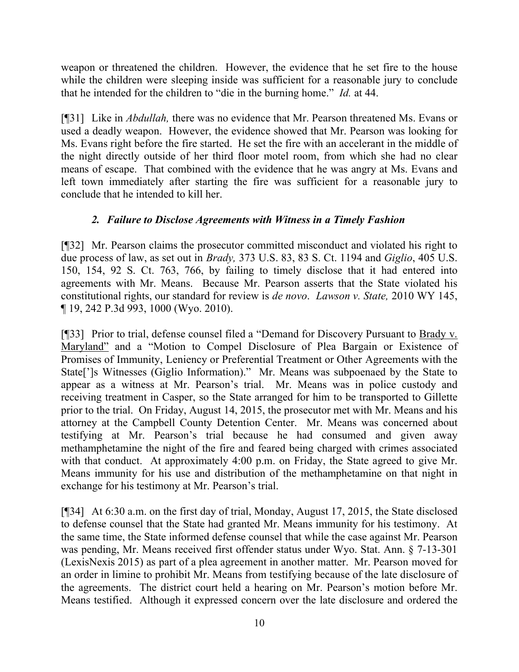weapon or threatened the children. However, the evidence that he set fire to the house while the children were sleeping inside was sufficient for a reasonable jury to conclude that he intended for the children to "die in the burning home." *Id.* at 44.

[¶31] Like in *Abdullah,* there was no evidence that Mr. Pearson threatened Ms. Evans or used a deadly weapon. However, the evidence showed that Mr. Pearson was looking for Ms. Evans right before the fire started. He set the fire with an accelerant in the middle of the night directly outside of her third floor motel room, from which she had no clear means of escape. That combined with the evidence that he was angry at Ms. Evans and left town immediately after starting the fire was sufficient for a reasonable jury to conclude that he intended to kill her.

# *2. Failure to Disclose Agreements with Witness in a Timely Fashion*

[¶32] Mr. Pearson claims the prosecutor committed misconduct and violated his right to due process of law, as set out in *Brady,* 373 U.S. 83, 83 S. Ct. 1194 and *Giglio*, 405 U.S. 150, 154, 92 S. Ct. 763, 766, by failing to timely disclose that it had entered into agreements with Mr. Means. Because Mr. Pearson asserts that the State violated his constitutional rights, our standard for review is *de novo*. *Lawson v. State,* 2010 WY 145, ¶ 19, 242 P.3d 993, 1000 (Wyo. 2010).

[¶33] Prior to trial, defense counsel filed a "Demand for Discovery Pursuant to Brady v. Maryland" and a "Motion to Compel Disclosure of Plea Bargain or Existence of Promises of Immunity, Leniency or Preferential Treatment or Other Agreements with the State[']s Witnesses (Giglio Information)." Mr. Means was subpoenaed by the State to appear as a witness at Mr. Pearson's trial. Mr. Means was in police custody and receiving treatment in Casper, so the State arranged for him to be transported to Gillette prior to the trial. On Friday, August 14, 2015, the prosecutor met with Mr. Means and his attorney at the Campbell County Detention Center. Mr. Means was concerned about testifying at Mr. Pearson's trial because he had consumed and given away methamphetamine the night of the fire and feared being charged with crimes associated with that conduct. At approximately 4:00 p.m. on Friday, the State agreed to give Mr. Means immunity for his use and distribution of the methamphetamine on that night in exchange for his testimony at Mr. Pearson's trial.

[¶34] At 6:30 a.m. on the first day of trial, Monday, August 17, 2015, the State disclosed to defense counsel that the State had granted Mr. Means immunity for his testimony. At the same time, the State informed defense counsel that while the case against Mr. Pearson was pending, Mr. Means received first offender status under Wyo. Stat. Ann. § 7-13-301 (LexisNexis 2015) as part of a plea agreement in another matter. Mr. Pearson moved for an order in limine to prohibit Mr. Means from testifying because of the late disclosure of the agreements. The district court held a hearing on Mr. Pearson's motion before Mr. Means testified. Although it expressed concern over the late disclosure and ordered the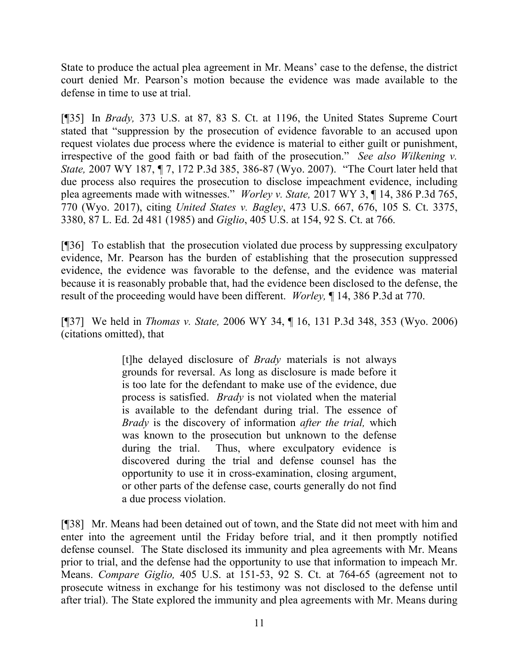State to produce the actual plea agreement in Mr. Means' case to the defense, the district court denied Mr. Pearson's motion because the evidence was made available to the defense in time to use at trial.

[¶35] In *Brady,* 373 U.S. at 87, 83 S. Ct. at 1196, the United States Supreme Court stated that "suppression by the prosecution of evidence favorable to an accused upon request violates due process where the evidence is material to either guilt or punishment, irrespective of the good faith or bad faith of the prosecution." *See also Wilkening v. State,* 2007 WY 187, ¶ 7, 172 P.3d 385, 386-87 (Wyo. 2007). "The Court later held that due process also requires the prosecution to disclose impeachment evidence, including plea agreements made with witnesses." *Worley v. State,* 2017 WY 3, ¶ 14, 386 P.3d 765, 770 (Wyo. 2017), citing *United States v. Bagley*, 473 U.S. 667, 676, 105 S. Ct. 3375, 3380, 87 L. Ed. 2d 481 (1985) and *Giglio*, 405 U.S. at 154, 92 S. Ct. at 766.

[¶36] To establish that the prosecution violated due process by suppressing exculpatory evidence, Mr. Pearson has the burden of establishing that the prosecution suppressed evidence, the evidence was favorable to the defense, and the evidence was material because it is reasonably probable that, had the evidence been disclosed to the defense, the result of the proceeding would have been different. *Worley,* ¶ 14, 386 P.3d at 770.

[¶37] We held in *Thomas v. State,* 2006 WY 34, ¶ 16, 131 P.3d 348, 353 (Wyo. 2006) (citations omitted), that

> [t]he delayed disclosure of *Brady* materials is not always grounds for reversal. As long as disclosure is made before it is too late for the defendant to make use of the evidence, due process is satisfied. *Brady* is not violated when the material is available to the defendant during trial. The essence of *Brady* is the discovery of information *after the trial,* which was known to the prosecution but unknown to the defense during the trial. Thus, where exculpatory evidence is discovered during the trial and defense counsel has the opportunity to use it in cross-examination, closing argument, or other parts of the defense case, courts generally do not find a due process violation.

[¶38] Mr. Means had been detained out of town, and the State did not meet with him and enter into the agreement until the Friday before trial, and it then promptly notified defense counsel. The State disclosed its immunity and plea agreements with Mr. Means prior to trial, and the defense had the opportunity to use that information to impeach Mr. Means. *Compare Giglio,* 405 U.S. at 151-53, 92 S. Ct. at 764-65 (agreement not to prosecute witness in exchange for his testimony was not disclosed to the defense until after trial). The State explored the immunity and plea agreements with Mr. Means during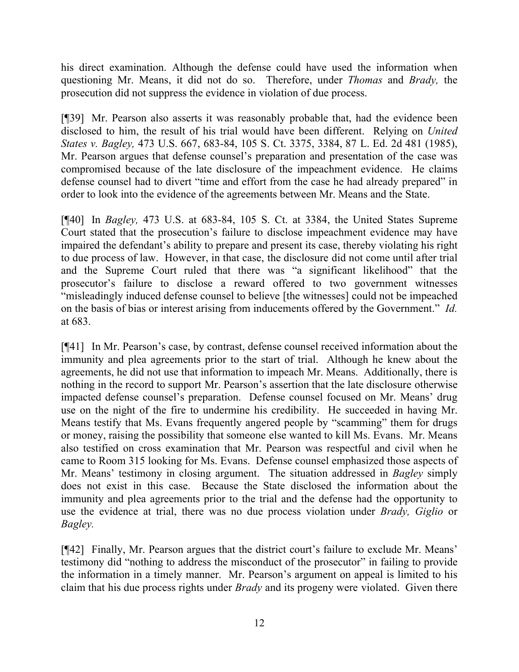his direct examination. Although the defense could have used the information when questioning Mr. Means, it did not do so. Therefore, under *Thomas* and *Brady,* the prosecution did not suppress the evidence in violation of due process.

[¶39] Mr. Pearson also asserts it was reasonably probable that, had the evidence been disclosed to him, the result of his trial would have been different. Relying on *United States v. Bagley,* 473 U.S. 667, 683-84, 105 S. Ct. 3375, 3384, 87 L. Ed. 2d 481 (1985), Mr. Pearson argues that defense counsel's preparation and presentation of the case was compromised because of the late disclosure of the impeachment evidence. He claims defense counsel had to divert "time and effort from the case he had already prepared" in order to look into the evidence of the agreements between Mr. Means and the State.

[¶40] In *Bagley,* 473 U.S. at 683-84, 105 S. Ct. at 3384, the United States Supreme Court stated that the prosecution's failure to disclose impeachment evidence may have impaired the defendant's ability to prepare and present its case, thereby violating his right to due process of law. However, in that case, the disclosure did not come until after trial and the Supreme Court ruled that there was "a significant likelihood" that the prosecutor's failure to disclose a reward offered to two government witnesses "misleadingly induced defense counsel to believe [the witnesses] could not be impeached on the basis of bias or interest arising from inducements offered by the Government." *Id.*  at 683.

[¶41] In Mr. Pearson's case, by contrast, defense counsel received information about the immunity and plea agreements prior to the start of trial. Although he knew about the agreements, he did not use that information to impeach Mr. Means. Additionally, there is nothing in the record to support Mr. Pearson's assertion that the late disclosure otherwise impacted defense counsel's preparation. Defense counsel focused on Mr. Means' drug use on the night of the fire to undermine his credibility. He succeeded in having Mr. Means testify that Ms. Evans frequently angered people by "scamming" them for drugs or money, raising the possibility that someone else wanted to kill Ms. Evans. Mr. Means also testified on cross examination that Mr. Pearson was respectful and civil when he came to Room 315 looking for Ms. Evans. Defense counsel emphasized those aspects of Mr. Means' testimony in closing argument. The situation addressed in *Bagley* simply does not exist in this case. Because the State disclosed the information about the immunity and plea agreements prior to the trial and the defense had the opportunity to use the evidence at trial, there was no due process violation under *Brady, Giglio* or *Bagley.* 

[¶42] Finally, Mr. Pearson argues that the district court's failure to exclude Mr. Means' testimony did "nothing to address the misconduct of the prosecutor" in failing to provide the information in a timely manner. Mr. Pearson's argument on appeal is limited to his claim that his due process rights under *Brady* and its progeny were violated. Given there